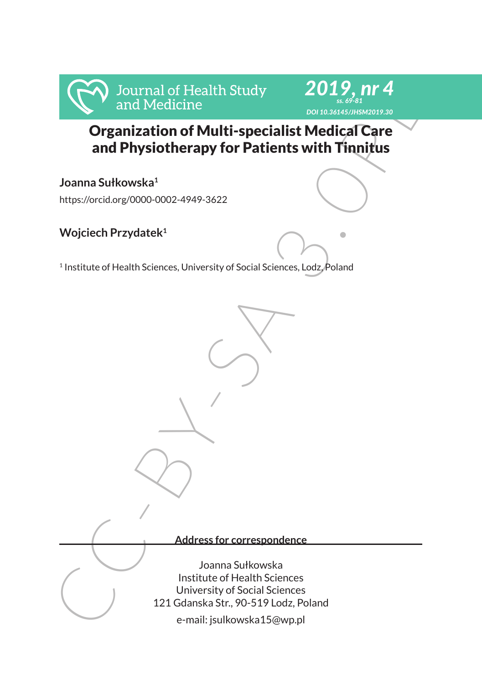

# Organization of Multi-specialist Medical Care and Physiotherapy for Patients with Tinnitus

*2019, nr 4 ss. 69-81 DOI 10.36145/JHSM2019.30*

**Joanna Sułkowska<sup>1</sup>**

https://orcid.org/0000-0002-4949-3622

## **Wojciech Przydatek<sup>1</sup>**

<sup>1</sup> Institute of Health Sciences, University of Social Sciences, Lodz, Poland

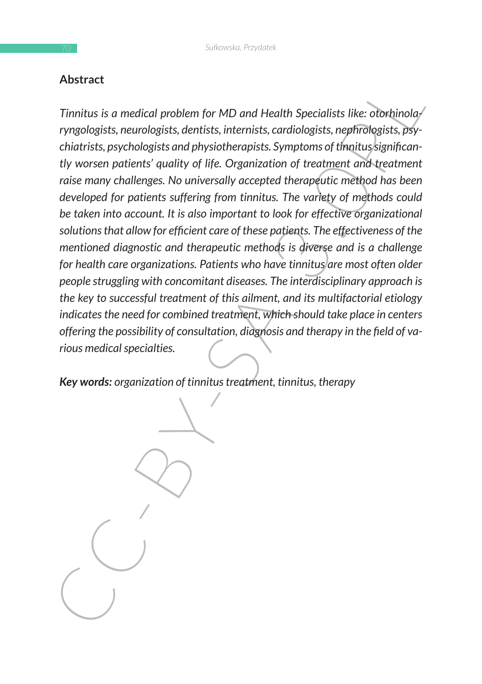#### **Abstract**

Austract<br>
Timitus is a medical problem for MD and Health Specialists like: orbthinolayinsts, new<br>
colorists, personologists, dentists, internists, cardiologists, nephrologists, person<br>
chatrists, psychologists and physioth *Tinnitus is a medical problem for MD and Health Specialists like: otorhinolaryngologists, neurologists, dentists, internists, cardiologists, nephrologists, psychiatrists, psychologists and physiotherapists. Symptoms of tinnitus significantly worsen patients' quality of life. Organization of treatment and treatment raise many challenges. No universally accepted therapeutic method has been developed for patients suffering from tinnitus. The variety of methods could be taken into account. It is also important to look for effective organizational solutions that allow for efficient care of these patients. The effectiveness of the mentioned diagnostic and therapeutic methods is diverse and is a challenge for health care organizations. Patients who have tinnitus are most often older people struggling with concomitant diseases. The interdisciplinary approach is the key to successful treatment of this ailment, and its multifactorial etiology indicates the need for combined treatment, which should take place in centers offering the possibility of consultation, diagnosis and therapy in the field of various medical specialties.*

*Key words: organization of tinnitus treatment, tinnitus, therapy*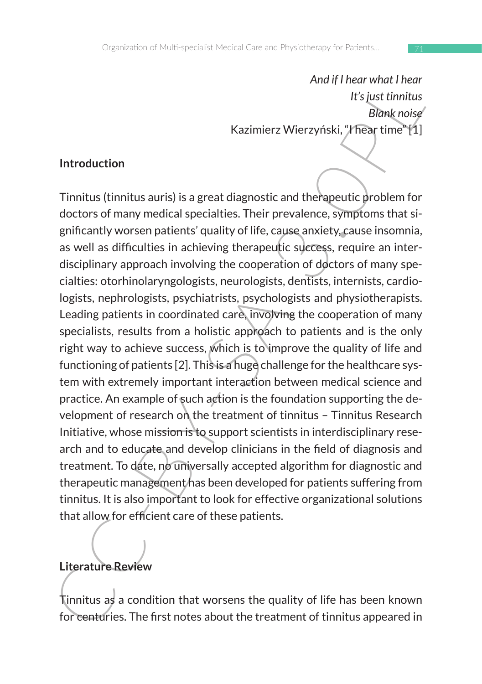*And if I hear what I hear It's just tinnitus Blank noise* Kazimierz Wierzyński, "I hear time" [1]

#### **Introduction**

And it paramout meat<br>
It's just timitus<br>
It's just timitus<br>
Evaluations<br>
It's just timitus<br>
Evaluations<br>
It is just timitus<br>
Evaluations of many medical specialties. Their prevalence, symptoms that si-<br>
gained and the divi Tinnitus (tinnitus auris) is a great diagnostic and therapeutic problem for doctors of many medical specialties. Their prevalence, symptoms that significantly worsen patients' quality of life, cause anxiety, cause insomnia, as well as difficulties in achieving therapeutic success, require an interdisciplinary approach involving the cooperation of doctors of many specialties: otorhinolaryngologists, neurologists, dentists, internists, cardiologists, nephrologists, psychiatrists, psychologists and physiotherapists. Leading patients in coordinated care, involving the cooperation of many specialists, results from a holistic approach to patients and is the only right way to achieve success, which is to improve the quality of life and functioning of patients [2]. This is a huge challenge for the healthcare system with extremely important interaction between medical science and practice. An example of such action is the foundation supporting the development of research on the treatment of tinnitus – Tinnitus Research Initiative, whose mission is to support scientists in interdisciplinary research and to educate and develop clinicians in the field of diagnosis and treatment. To date, no universally accepted algorithm for diagnostic and therapeutic management has been developed for patients suffering from tinnitus. It is also important to look for effective organizational solutions that allow for efficient care of these patients.

## **Literature Review**

Tinnitus as a condition that worsens the quality of life has been known for centuries. The first notes about the treatment of tinnitus appeared in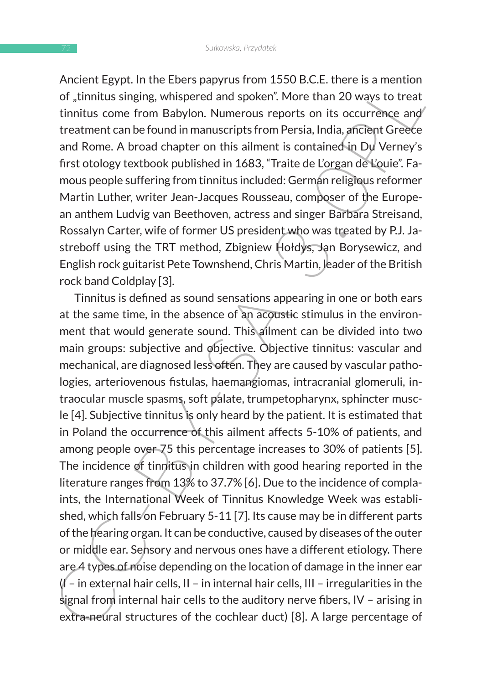Ancient Egypt. In the Ebers papyrus from 1550 B.C.E. there is a mention of "tinnitus singing, whispered and spoken". More than 20 ways to treat tinnitus come from Babylon. Numerous reports on its occurrence and treatment can be found in manuscripts from Persia, India, ancient Greece and Rome. A broad chapter on this ailment is contained in Du Verney's first otology textbook published in 1683, "Traite de L'organ de L'ouie". Famous people suffering from tinnitus included: German religious reformer Martin Luther, writer Jean-Jacques Rousseau, composer of the European anthem Ludvig van Beethoven, actress and singer Barbara Streisand, Rossalyn Carter, wife of former US president who was treated by P.J. Jastreboff using the TRT method, Zbigniew Hołdys, Jan Borysewicz, and English rock guitarist Pete Townshend, Chris Martin, leader of the British rock band Coldplay [3].

Auther the point in the ebers paryly as from 1.350 b.c. t. there is a mention<br>of , thinkits singing, whispered and spoken". More than 20 ways to treat<br>tinnitius come from Babylon. Numerous reports on its occurrence and<br>tra Tinnitus is defined as sound sensations appearing in one or both ears at the same time, in the absence of an acoustic stimulus in the environment that would generate sound. This ailment can be divided into two main groups: subjective and objective. Objective tinnitus: vascular and mechanical, are diagnosed less often. They are caused by vascular pathologies, arteriovenous fistulas, haemangiomas, intracranial glomeruli, intraocular muscle spasms, soft palate, trumpetopharynx, sphincter muscle [4]. Subjective tinnitus is only heard by the patient. It is estimated that in Poland the occurrence of this ailment affects 5-10% of patients, and among people over 75 this percentage increases to 30% of patients [5]. The incidence of tinnitus in children with good hearing reported in the literature ranges from 13% to 37.7% [6]. Due to the incidence of complaints, the International Week of Tinnitus Knowledge Week was established, which falls on February 5-11 [7]. Its cause may be in different parts of the hearing organ. It can be conductive, caused by diseases of the outer or middle ear. Sensory and nervous ones have a different etiology. There are 4 types of noise depending on the location of damage in the inner ear  $\mathcal{U}$  – in external hair cells, II – in internal hair cells, III – irregularities in the signal from internal hair cells to the auditory nerve fibers, IV – arising in extra-neural structures of the cochlear duct) [8]. A large percentage of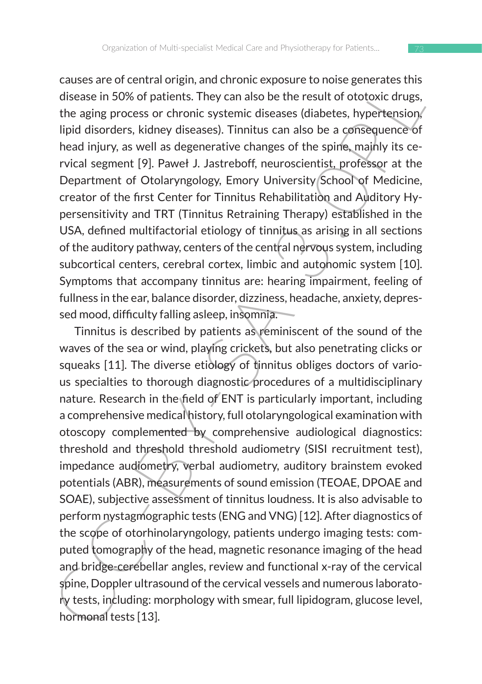causes are of central origin, and chronic exposure to noise generates this disease in 50% of patients. They can also be the result of ototoxic drugs, the aging process or chronic systemic diseases (diabetes, hypertension, lipid disorders, kidney diseases). Tinnitus can also be a consequence of head injury, as well as degenerative changes of the spine, mainly its cervical segment [9]. Paweł J. Jastreboff, neuroscientist, professor at the Department of Otolaryngology, Emory University School of Medicine, creator of the first Center for Tinnitus Rehabilitation and Auditory Hypersensitivity and TRT (Tinnitus Retraining Therapy) established in the USA, defined multifactorial etiology of tinnitus as arising in all sections of the auditory pathway, centers of the central nervous system, including subcortical centers, cerebral cortex, limbic and autohomic system [10]. Symptoms that accompany tinnitus are: hearing impairment, feeling of fullness in the ear, balance disorder, dizziness, headache, anxiety, depressed mood, difficulty falling asleep, insomnia.

Lausse are to tentrar origin, and nirronic exposure to toose generates times<br>disease in 50% of patients. They can also be the result of ototxic drugs,<br>the aging process or chronic systemic diseases) (diabetes, hypertension Tinnitus is described by patients as reminiscent of the sound of the waves of the sea or wind, playing crickets, but also penetrating clicks or squeaks [11]. The diverse etiology of tinnitus obliges doctors of various specialties to thorough diagnostic procedures of a multidisciplinary nature. Research in the field of ENT is particularly important, including a comprehensive medical history, full otolaryngological examination with otoscopy complemented by comprehensive audiological diagnostics: threshold and threshold threshold audiometry (SISI recruitment test), impedance audiometry, verbal audiometry, auditory brainstem evoked potentials (ABR), measurements of sound emission (TEOAE, DPOAE and SOAE), subjective assessment of tinnitus loudness. It is also advisable to perform nystagmographic tests (ENG and VNG) [12]. After diagnostics of the scope of otorhinolaryngology, patients undergo imaging tests: computed tomography of the head, magnetic resonance imaging of the head and bridge-cerebellar angles, review and functional x-ray of the cervical spine, Doppler ultrasound of the cervical vessels and numerous laboratory tests, including: morphology with smear, full lipidogram, glucose level, hormonal tests [13].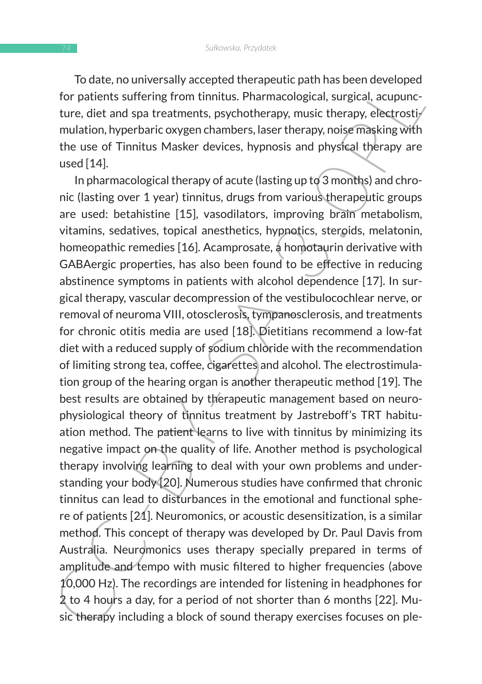To date, no universally accepted therapeutic path has been developed for patients suffering from tinnitus. Pharmacological, surgical, acupuncture, diet and spa treatments, psychotherapy, music therapy, electrostimulation, hyperbaric oxygen chambers, laser therapy, noise masking with the use of Tinnitus Masker devices, hypnosis and physical therapy are used [14].

io due, no unverslay accepted unerapetitic partnas been revenibled<br>for patients suffering from timitius. Pharmacological, surgical, acupuncture, diet and spa treatments, psychotherapy, music therapy, electrostif<br>which in t In pharmacological therapy of acute (lasting up to 3 months) and chronic (lasting over 1 year) tinnitus, drugs from various therapeutic groups are used: betahistine [15], vasodilators, improving brain metabolism, vitamins, sedatives, topical anesthetics, hypnotics, steroids, melatonin, homeopathic remedies [16]. Acamprosate, a homotaurin derivative with GABAergic properties, has also been found to be effective in reducing abstinence symptoms in patients with alcohol dependence [17]. In surgical therapy, vascular decompression of the vestibulocochlear nerve, or removal of neuroma VIII, otosclerosis, tympanosclerosis, and treatments for chronic otitis media are used [18]. Dietitians recommend a low-fat diet with a reduced supply of sodium chloride with the recommendation of limiting strong tea, coffee, cigarettes and alcohol. The electrostimulation group of the hearing organ is another therapeutic method [19]. The best results are obtained by therapeutic management based on neurophysiological theory of tinnitus treatment by Jastreboff's TRT habituation method. The patient learns to live with tinnitus by minimizing its negative impact on the quality of life. Another method is psychological therapy involving learning to deal with your own problems and understanding your body [20]. Numerous studies have confirmed that chronic tinnitus can lead to disturbances in the emotional and functional sphere of patients [21]. Neuromonics, or acoustic desensitization, is a similar method. This concept of therapy was developed by Dr. Paul Davis from Australia. Neuromonics uses therapy specially prepared in terms of amplitude and tempo with music filtered to higher frequencies (above 10,000 Hz). The recordings are intended for listening in headphones for 2 to 4 hours a day, for a period of not shorter than 6 months [22]. Music therapy including a block of sound therapy exercises focuses on ple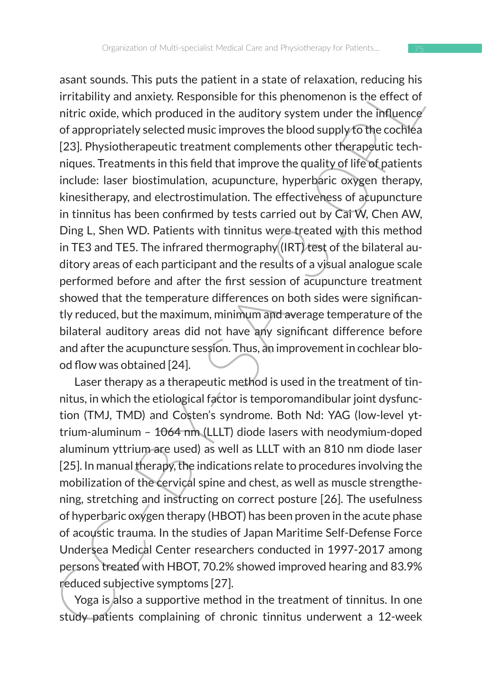assum sounds. This puts the pattern in a state to relaxation, recularity and moticly, and moticly, Responsible for this phenomenon is the effect of nitric oxide, which produced in the auditory system under the influence of asant sounds. This puts the patient in a state of relaxation, reducing his irritability and anxiety. Responsible for this phenomenon is the effect of nitric oxide, which produced in the auditory system under the influence of appropriately selected music improves the blood supply to the cochlea [23]. Physiotherapeutic treatment complements other therapeutic techniques. Treatments in this field that improve the quality of life of patients include: laser biostimulation, acupuncture, hyperbaric oxygen therapy, kinesitherapy, and electrostimulation. The effectiveness of acupuncture in tinnitus has been confirmed by tests carried out by Cai W, Chen AW, Ding L, Shen WD. Patients with tinnitus were treated with this method in TE3 and TE5. The infrared thermography  $(IRT)$  test of the bilateral auditory areas of each participant and the results of a visual analogue scale performed before and after the first session of acupuncture treatment showed that the temperature differences on both sides were significantly reduced, but the maximum, minimum and average temperature of the bilateral auditory areas did not have any significant difference before and after the acupuncture session. Thus, an improvement in cochlear blood flow was obtained [24].

Laser therapy as a therapeutic method is used in the treatment of tinnitus, in which the etiological factor is temporomandibular joint dysfunction (TMJ, TMD) and Costen's syndrome. Both Nd: YAG (low-level yttrium-aluminum – 1064 nm (LLLT) diode lasers with neodymium-doped aluminum yttrium are used) as well as LLLT with an 810 nm diode laser [25]. In manual therapy, the indications relate to procedures involving the mobilization of the cervical spine and chest, as well as muscle strengthening, stretching and instructing on correct posture [26]. The usefulness of hyperbaric oxygen therapy (HBOT) has been proven in the acute phase of acoustic trauma. In the studies of Japan Maritime Self-Defense Force Undersea Medical Center researchers conducted in 1997-2017 among persons treated with HBOT, 70.2% showed improved hearing and 83.9% reduced subjective symptoms [27].

Yoga is also a supportive method in the treatment of tinnitus. In one study patients complaining of chronic tinnitus underwent a 12-week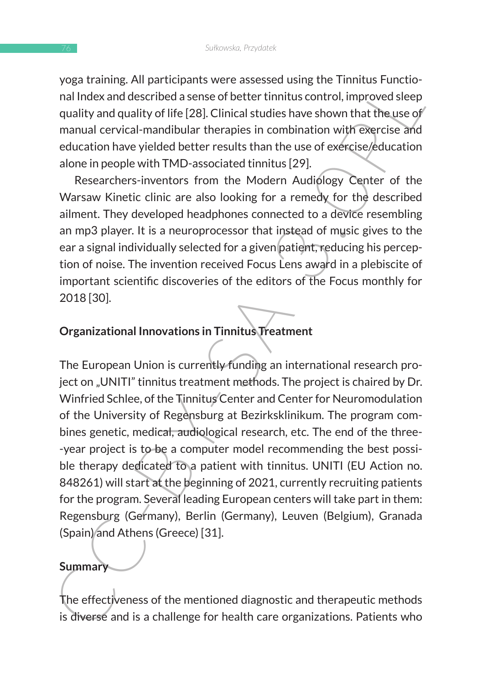yoga training. All participants were assessed using the Tinnitus Functional Index and described a sense of better tinnitus control, improved sleep quality and quality of life [28]. Clinical studies have shown that the use of manual cervical-mandibular therapies in combination with exercise and education have yielded better results than the use of exercise/education alone in people with TMD-associated tinnitus [29].

Researchers-inventors from the Modern Audiology Center of the Warsaw Kinetic clinic are also looking for a remedy for the described ailment. They developed headphones connected to a device resembling an mp3 player. It is a neuroprocessor that instead of music gives to the ear a signal individually selected for a given patient, reducing his perception of noise. The invention received Focus Lens award in a plebiscite of important scientific discoveries of the editors of the Focus monthly for 2018 [30].

#### **Organizational Innovations in Tinnitus Treatment**

you a training. Am participalis were assessed using the inimitives ronticle-<br>anal index and described a sense of better timitivs control, improved sleep<br>quality and quality of life [28]. Clinical studies have shown that th The European Union is currently funding an international research project on "UNITI" tinnitus treatment methods. The project is chaired by Dr. Winfried Schlee, of the Tinnitus Center and Center for Neuromodulation of the University of Regensburg at Bezirksklinikum. The program combines genetic, medical, audiological research, etc. The end of the three- -year project is to be a computer model recommending the best possible therapy dedicated to a patient with tinnitus. UNITI (EU Action no. 848261) will start at the beginning of 2021, currently recruiting patients for the program. Several leading European centers will take part in them: Regensburg (Germany), Berlin (Germany), Leuven (Belgium), Granada (Spain) and Athens (Greece) [31].

### **Summary**

The effectiveness of the mentioned diagnostic and therapeutic methods is diverse and is a challenge for health care organizations. Patients who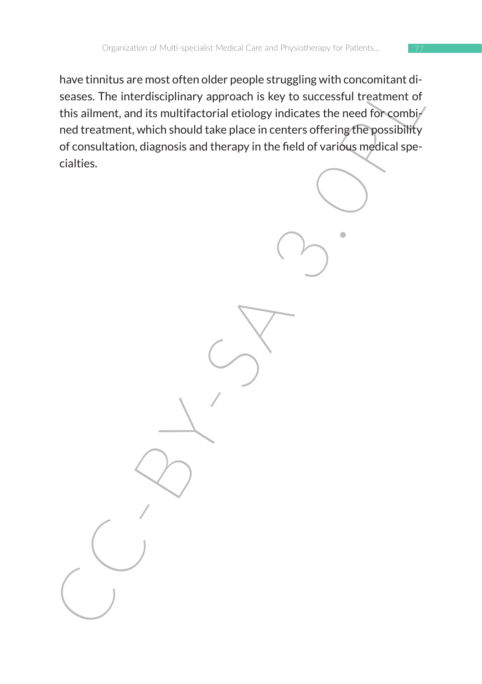France unions are monostron terroristorium concerned to see sees. The interdisciplinary approach is key to successful treatment of<br>this ailment, and its multifactorial etiology indicates the need for combined<br>the ainment, have tinnitus are most often older people struggling with concomitant diseases. The interdisciplinary approach is key to successful treatment of this ailment, and its multifactorial etiology indicates the need for combi $\not$ ned treatment, which should take place in centers offering the possibility of consultation, diagnosis and therapy in the field of various medical specialties.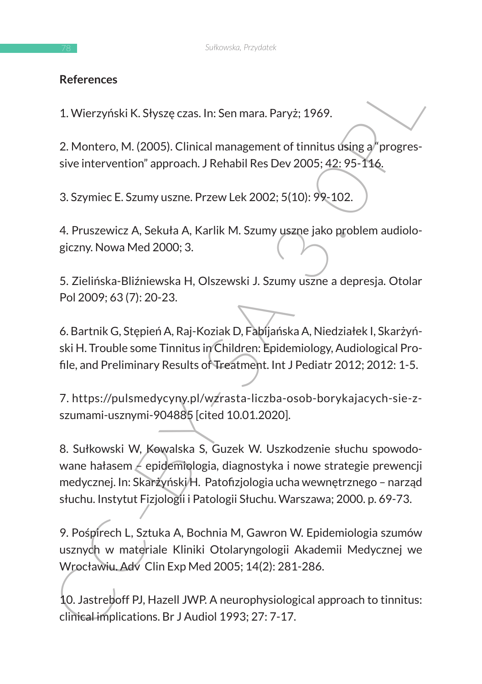### **References**

1. Wierzyński K. Słyszę czas. In: Sen mara. Paryż; 1969.

2. Montero, M. (2005). Clinical management of tinnitus using a "progressive intervention" approach. J Rehabil Res Dev 2005; 42: 95-116.

3. Szymiec E. Szumy uszne. Przew Lek 2002; 5(10): 99-102.

4. Pruszewicz A, Sekuła A, Karlik M. Szumy uszne jako problem audiologiczny. Nowa Med 2000; 3.

5. Zielińska-Bliźniewska H, Olszewski J. Szumy uszne a depresja. Otolar Pol 2009; 63 (7): 20-23.

6. Bartnik G, Stępień A, Raj-Koziak D, Fabijańska A, Niedziałek I, Skarżyński H. Trouble some Tinnitus in Children: Epidemiology, Audiological Profile, and Preliminary Results of Treatment. Int J Pediatr 2012; 2012: 1-5.

7. https://pulsmedycyny.pl/wzrasta-liczba-osob-borykajacych-sie-zszumami-usznymi-904885 [cited 10.01.2020].

References<br>
1. Wierzyński K. Słyszę czas. In: Sen mara. Paryż; 1969.<br>
2. Montero, M. (2005). Clinical management of timitus úsing a<sup>b</sup> progressive intervention" approach. J Rehabil Res Dev 2005; 42: 95-116.<br>
3. Szymiec E. 8. Sułkowski W, Kowalska S, Guzek W. Uszkodzenie słuchu spowodowane hałasem  $\neq$  epidemiologia, diagnostyka i nowe strategie prewencji medycznej. In: Skarżyński H. Patofizjologia ucha wewnętrznego – narząd słuchu. Instytut Fizjologii i Patologii Słuchu. Warszawa; 2000. p. 69-73.

9. Pośpirech L, Sztuka A, Bochnia M, Gawron W. Epidemiologia szumów usznych w materiale Kliniki Otolaryngologii Akademii Medycznej we Wrocławiu. Adv Clin Exp Med 2005; 14(2): 281-286.

10. Jastreboff PJ, Hazell JWP. A neurophysiological approach to tinnitus: clinical implications. Br J Audiol 1993; 27: 7-17.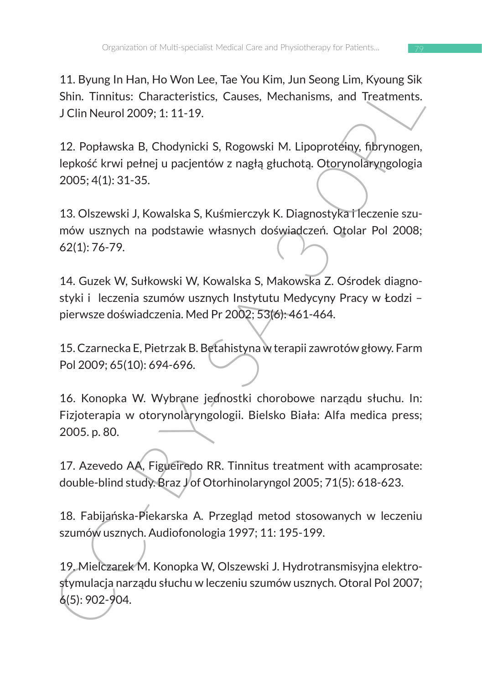11. Byung In Han, Ho Won Lee, Tae You Kim, Jun Seong Lim, Kyoung Sik Shin. Tinnitus: Characteristics, Causes, Mechanisms, and Treatments. J Clin Neurol 2009; 1: 11-19.

11. Byung Im Harl, Hou wou Lee, Hae Tou Mini, Juni Beling Eini, Nyoning Sik Shin. Timitus: Characteristics, Causes, Mechanisms, and Treatments.<br>
J.Clin Neurol 2009; 1: 11-19.<br>
12. Popławska B. Chodynicki S. Rogowski M. Lip 12. Popławska B, Chodynicki S, Rogowski M. Lipoproteiny, fibrynogen, lepkość krwi pełnej u pacjentów z nagłą głuchotą. Otorynolaryngologia 2005; 4(1): 31-35.

13. Olszewski J, Kowalska S, Kuśmierczyk K. Diagnostyka i leczenie szumów usznych na podstawie własnych doświadczeń. Otolar Pol 2008; 62(1): 76-79.

14. Guzek W, Sułkowski W, Kowalska S, Makowska Z. Ośrodek diagnostyki i leczenia szumów usznych Instytutu Medycyny Pracy w Łodzi – pierwsze doświadczenia. Med Pr 2002; 53(6): 461-464.

15. Czarnecka E, Pietrzak B. Betahistyna w terapii zawrotów głowy. Farm Pol 2009; 65(10): 694-696.

16. Konopka W. Wybrane jednostki chorobowe narządu słuchu. In: Fizjoterapia w otorynolaryngologii. Bielsko Biała: Alfa medica press; 2005. p. 80.

17. Azevedo AA, Figueiredo RR. Tinnitus treatment with acamprosate: double-blind study. Braz J'of Otorhinolaryngol 2005; 71(5): 618-623.

18. Fabijańska-Piekarska A. Przegląd metod stosowanych w leczeniu szumów usznych. Audiofonologia 1997; 11: 195-199.

19. Mielczarek M. Konopka W, Olszewski J. Hydrotransmisyjna elektrostymulacja narządu słuchu w leczeniu szumów usznych. Otoral Pol 2007; 6(5): 902-904.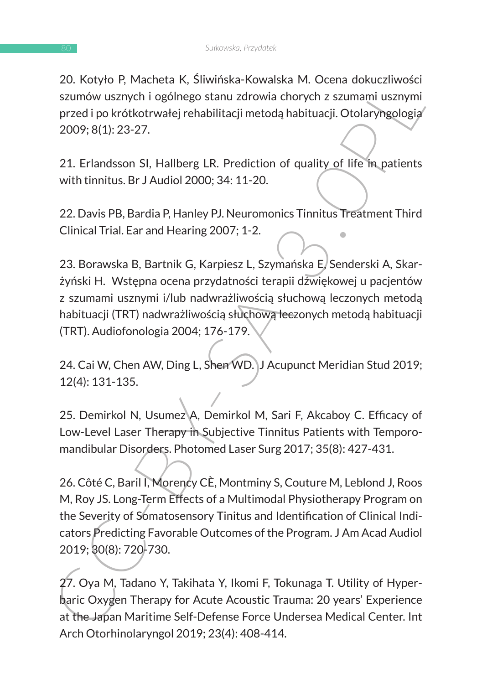20. Kotyło P, Macheta K, Śliwińska-Kowalska M. Ocena dokuczliwości szumów usznych i ogólnego stanu zdrowia chorych z szumami usznymi przed i po krótkotrwałej rehabilitacji metodą habituacji. Otolaryngologia 2009; 8(1): 23-27.

21. Erlandsson SI, Hallberg LR. Prediction of quality of life in patients with tinnitus. Br J Audiol 2000; 34: 11-20.

22. Davis PB, Bardia P, Hanley PJ. Neuromonics Tinnitus Treatment Third Clinical Trial. Ear and Hearing 2007; 1-2.

23. Borawska B, Bartnik G, Karpiesz L, Szymańska E, Senderski A, Skarżyński H. Wstępna ocena przydatności terapii dźwiękowej u pacjentów z szumami usznymi i/lub nadwrażliwością słuchową leczonych metodą habituacji (TRT) nadwrażliwością słuchową leczonych metodą habituacji (TRT). Audiofonologia 2004; 176-179.

24. Cai W, Chen AW, Ding L, Shen WD. J Acupunct Meridian Stud 2019; 12(4): 131-135.

25. Demirkol N, Usumez A, Demirkol M, Sari F, Akcaboy C. Efficacy of Low-Level Laser Therapy in Subjective Tinnitus Patients with Temporomandibular Disorders. Photomed Laser Surg 2017; 35(8): 427-431.

20. Notyto P, Macheta N, Sumusak-Rowassa Mr. Ocelia dottchivosat<br>
22. Notyto P, Macheta N, Sumusak-Rowassa Mr. Ocelia dottchivesary<br>
22. Davis PB, Bardia P, Hallberg LR. Prediction of quality of life in patients<br>
22. Davis 26. Côté C, Baril I, Morency CÈ, Montminy S, Couture M, Leblond J, Roos M, Roy JS. Long-Term Effects of a Multimodal Physiotherapy Program on the Severity of Somatosensory Tinitus and Identification of Clinical Indicators Predicting Favorable Outcomes of the Program. J Am Acad Audiol 2019; 30(8): 720-730.

27. Oya M, Tadano Y, Takihata Y, Ikomi F, Tokunaga T. Utility of Hyperbaric Oxygen Therapy for Acute Acoustic Trauma: 20 years' Experience at the Japan Maritime Self-Defense Force Undersea Medical Center. Int Arch Otorhinolaryngol 2019; 23(4): 408-414.